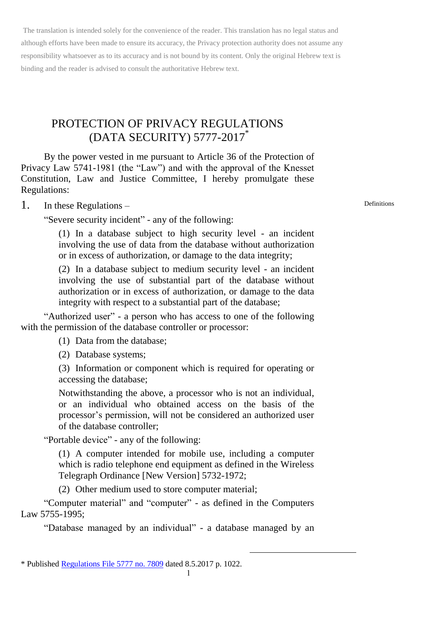# PROTECTION OF PRIVACY REGULATIONS (DATA SECURITY) 5777-2017\*

By the power vested in me pursuant to Article 36 of the Protection of Privacy Law 5741-1981 (the "Law") and with the approval of the Knesset Constitution, Law and Justice Committee, I hereby promulgate these Regulations:

#### 1. In these Regulations –

"Severe security incident" - any of the following:

(1) In a database subject to high security level - an incident involving the use of data from the database without authorization or in excess of authorization, or damage to the data integrity;

(2) In a database subject to medium security level - an incident involving the use of substantial part of the database without authorization or in excess of authorization, or damage to the data integrity with respect to a substantial part of the database;

"Authorized user" - a person who has access to one of the following with the permission of the database controller or processor:

(1) Data from the database;

(2) Database systems;

(3) Information or component which is required for operating or accessing the database;

Notwithstanding the above, a processor who is not an individual, or an individual who obtained access on the basis of the processor's permission, will not be considered an authorized user of the database controller;

"Portable device" - any of the following:

(1) A computer intended for mobile use, including a computer which is radio telephone end equipment as defined in the Wireless Telegraph Ordinance [New Version] 5732-1972;

(2) Other medium used to store computer material;

"Computer material" and "computer" - as defined in the Computers Law 5755-1995;

"Database managed by an individual" - a database managed by an

-

Definitions

<sup>\*</sup> Publishe[d Regulations File 5777 no. 7809](http://www.nevo.co.il/Law_word/law06/tak-7809.pdf) dated 8.5.2017 p. 1022.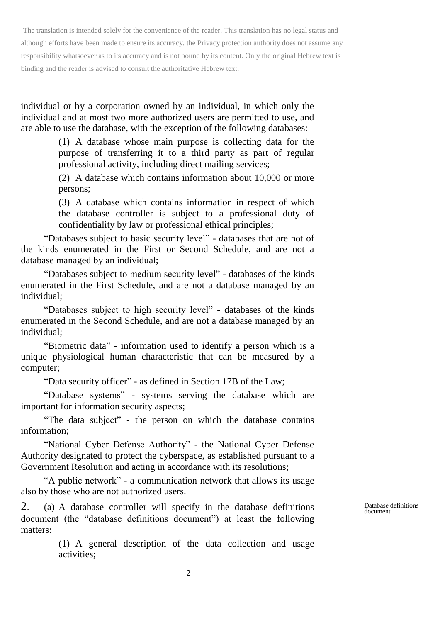individual or by a corporation owned by an individual, in which only the individual and at most two more authorized users are permitted to use, and are able to use the database, with the exception of the following databases:

> (1) A database whose main purpose is collecting data for the purpose of transferring it to a third party as part of regular professional activity, including direct mailing services;

> (2) A database which contains information about 10,000 or more persons;

> (3) A database which contains information in respect of which the database controller is subject to a professional duty of confidentiality by law or professional ethical principles;

"Databases subject to basic security level" - databases that are not of the kinds enumerated in the First or Second Schedule, and are not a database managed by an individual;

"Databases subject to medium security level" - databases of the kinds enumerated in the First Schedule, and are not a database managed by an individual;

"Databases subject to high security level" - databases of the kinds enumerated in the Second Schedule, and are not a database managed by an individual;

"Biometric data" - information used to identify a person which is a unique physiological human characteristic that can be measured by a computer;

"Data security officer" - as defined in Section 17B of the Law;

"Database systems" - systems serving the database which are important for information security aspects;

"The data subject" - the person on which the database contains information;

"National Cyber Defense Authority" - the National Cyber Defense Authority designated to protect the cyberspace, as established pursuant to a Government Resolution and acting in accordance with its resolutions;

"A public network" - a communication network that allows its usage also by those who are not authorized users.

2. (a) A database controller will specify in the database definitions document (the "database definitions document") at least the following matters:

> (1) A general description of the data collection and usage activities;

Database definitions document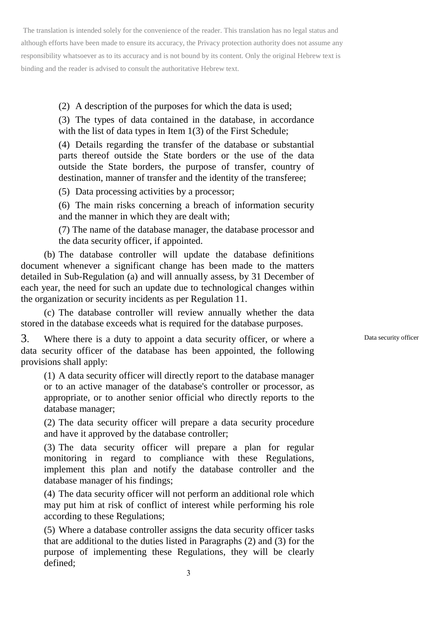(2) A description of the purposes for which the data is used;

(3) The types of data contained in the database, in accordance with the list of data types in Item 1(3) of the First Schedule;

(4) Details regarding the transfer of the database or substantial parts thereof outside the State borders or the use of the data outside the State borders, the purpose of transfer, country of destination, manner of transfer and the identity of the transferee;

(5) Data processing activities by a processor;

(6) The main risks concerning a breach of information security and the manner in which they are dealt with;

(7) The name of the database manager, the database processor and the data security officer, if appointed.

(b) The database controller will update the database definitions document whenever a significant change has been made to the matters detailed in Sub-Regulation (a) and will annually assess, by 31 December of each year, the need for such an update due to technological changes within the organization or security incidents as per Regulation 11.

(c) The database controller will review annually whether the data stored in the database exceeds what is required for the database purposes.

3. Where there is a duty to appoint a data security officer, or where a data security officer of the database has been appointed, the following provisions shall apply:

(1) A data security officer will directly report to the database manager or to an active manager of the database's controller or processor, as appropriate, or to another senior official who directly reports to the database manager;

(2) The data security officer will prepare a data security procedure and have it approved by the database controller;

(3) The data security officer will prepare a plan for regular monitoring in regard to compliance with these Regulations, implement this plan and notify the database controller and the database manager of his findings;

(4) The data security officer will not perform an additional role which may put him at risk of conflict of interest while performing his role according to these Regulations;

(5) Where a database controller assigns the data security officer tasks that are additional to the duties listed in Paragraphs (2) and (3) for the purpose of implementing these Regulations, they will be clearly defined;

Data security officer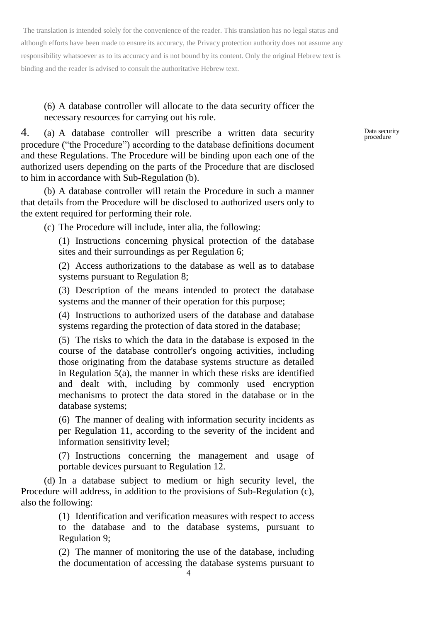(6) A database controller will allocate to the data security officer the necessary resources for carrying out his role.

4. (a) A database controller will prescribe a written data security procedure ("the Procedure") according to the database definitions document and these Regulations. The Procedure will be binding upon each one of the authorized users depending on the parts of the Procedure that are disclosed to him in accordance with Sub-Regulation (b).

(b) A database controller will retain the Procedure in such a manner that details from the Procedure will be disclosed to authorized users only to the extent required for performing their role.

(c) The Procedure will include, inter alia, the following:

(1) Instructions concerning physical protection of the database sites and their surroundings as per Regulation 6;

(2) Access authorizations to the database as well as to database systems pursuant to Regulation 8;

(3) Description of the means intended to protect the database systems and the manner of their operation for this purpose;

(4) Instructions to authorized users of the database and database systems regarding the protection of data stored in the database;

(5) The risks to which the data in the database is exposed in the course of the database controller's ongoing activities, including those originating from the database systems structure as detailed in Regulation 5(a), the manner in which these risks are identified and dealt with, including by commonly used encryption mechanisms to protect the data stored in the database or in the database systems;

(6) The manner of dealing with information security incidents as per Regulation 11, according to the severity of the incident and information sensitivity level;

(7) Instructions concerning the management and usage of portable devices pursuant to Regulation 12.

(d) In a database subject to medium or high security level, the Procedure will address, in addition to the provisions of Sub-Regulation (c), also the following:

> (1) Identification and verification measures with respect to access to the database and to the database systems, pursuant to Regulation 9;

> (2) The manner of monitoring the use of the database, including the documentation of accessing the database systems pursuant to

Data security procedure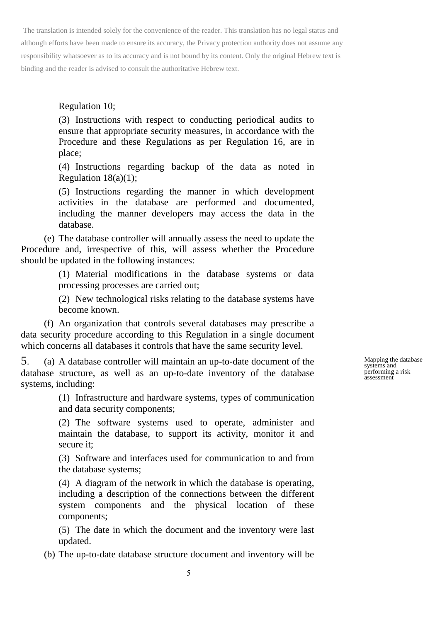Regulation 10;

(3) Instructions with respect to conducting periodical audits to ensure that appropriate security measures, in accordance with the Procedure and these Regulations as per Regulation 16, are in place;

(4) Instructions regarding backup of the data as noted in Regulation  $18(a)(1)$ ;

(5) Instructions regarding the manner in which development activities in the database are performed and documented, including the manner developers may access the data in the database.

(e) The database controller will annually assess the need to update the Procedure and, irrespective of this, will assess whether the Procedure should be updated in the following instances:

> (1) Material modifications in the database systems or data processing processes are carried out;

> (2) New technological risks relating to the database systems have become known.

(f) An organization that controls several databases may prescribe a data security procedure according to this Regulation in a single document which concerns all databases it controls that have the same security level.

5. (a) A database controller will maintain an up-to-date document of the database structure, as well as an up-to-date inventory of the database systems, including:

> (1) Infrastructure and hardware systems, types of communication and data security components;

> (2) The software systems used to operate, administer and maintain the database, to support its activity, monitor it and secure it;

> (3) Software and interfaces used for communication to and from the database systems;

> (4) A diagram of the network in which the database is operating, including a description of the connections between the different system components and the physical location of these components;

> (5) The date in which the document and the inventory were last updated.

(b) The up-to-date database structure document and inventory will be

Mapping the database systems and performing a risk assessment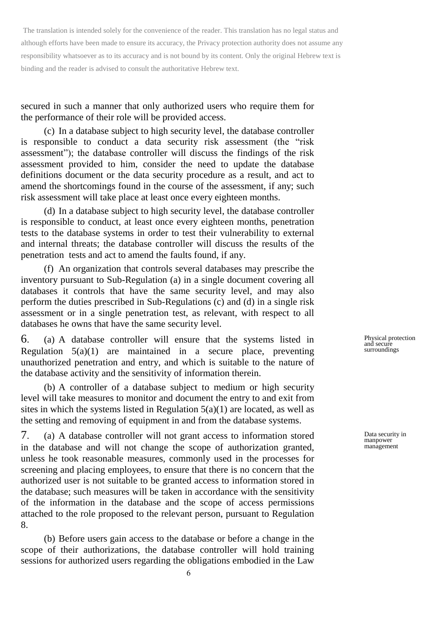secured in such a manner that only authorized users who require them for the performance of their role will be provided access.

(c) In a database subject to high security level, the database controller is responsible to conduct a data security risk assessment (the "risk assessment"); the database controller will discuss the findings of the risk assessment provided to him, consider the need to update the database definitions document or the data security procedure as a result, and act to amend the shortcomings found in the course of the assessment, if any; such risk assessment will take place at least once every eighteen months.

(d) In a database subject to high security level, the database controller is responsible to conduct, at least once every eighteen months, penetration tests to the database systems in order to test their vulnerability to external and internal threats; the database controller will discuss the results of the penetration tests and act to amend the faults found, if any.

(f) An organization that controls several databases may prescribe the inventory pursuant to Sub-Regulation (a) in a single document covering all databases it controls that have the same security level, and may also perform the duties prescribed in Sub-Regulations (c) and (d) in a single risk assessment or in a single penetration test, as relevant, with respect to all databases he owns that have the same security level.

6. (a) A database controller will ensure that the systems listed in Regulation  $5(a)(1)$  are maintained in a secure place, preventing unauthorized penetration and entry, and which is suitable to the nature of the database activity and the sensitivity of information therein.

(b) A controller of a database subject to medium or high security level will take measures to monitor and document the entry to and exit from sites in which the systems listed in Regulation  $5(a)(1)$  are located, as well as the setting and removing of equipment in and from the database systems.

7. (a) A database controller will not grant access to information stored in the database and will not change the scope of authorization granted, unless he took reasonable measures, commonly used in the processes for screening and placing employees, to ensure that there is no concern that the authorized user is not suitable to be granted access to information stored in the database; such measures will be taken in accordance with the sensitivity of the information in the database and the scope of access permissions attached to the role proposed to the relevant person, pursuant to Regulation 8.

(b) Before users gain access to the database or before a change in the scope of their authorizations, the database controller will hold training sessions for authorized users regarding the obligations embodied in the Law Physical protection and secure surroundings

Data security in manpower management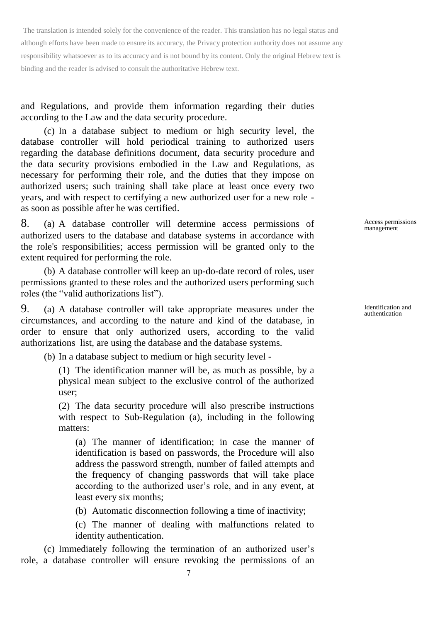and Regulations, and provide them information regarding their duties according to the Law and the data security procedure.

(c) In a database subject to medium or high security level, the database controller will hold periodical training to authorized users regarding the database definitions document, data security procedure and the data security provisions embodied in the Law and Regulations, as necessary for performing their role, and the duties that they impose on authorized users; such training shall take place at least once every two years, and with respect to certifying a new authorized user for a new role as soon as possible after he was certified.

8. (a) A database controller will determine access permissions of authorized users to the database and database systems in accordance with the role's responsibilities; access permission will be granted only to the extent required for performing the role.

(b) A database controller will keep an up-do-date record of roles, user permissions granted to these roles and the authorized users performing such roles (the "valid authorizations list").

9. (a) A database controller will take appropriate measures under the circumstances, and according to the nature and kind of the database, in order to ensure that only authorized users, according to the valid authorizations list, are using the database and the database systems.

(b) In a database subject to medium or high security level -

(1) The identification manner will be, as much as possible, by a physical mean subject to the exclusive control of the authorized user;

(2) The data security procedure will also prescribe instructions with respect to Sub-Regulation (a), including in the following matters:

(a) The manner of identification; in case the manner of identification is based on passwords, the Procedure will also address the password strength, number of failed attempts and the frequency of changing passwords that will take place according to the authorized user's role, and in any event, at least every six months;

(b) Automatic disconnection following a time of inactivity;

(c) The manner of dealing with malfunctions related to identity authentication.

(c) Immediately following the termination of an authorized user's role, a database controller will ensure revoking the permissions of an Access permissions management

Identification and authentication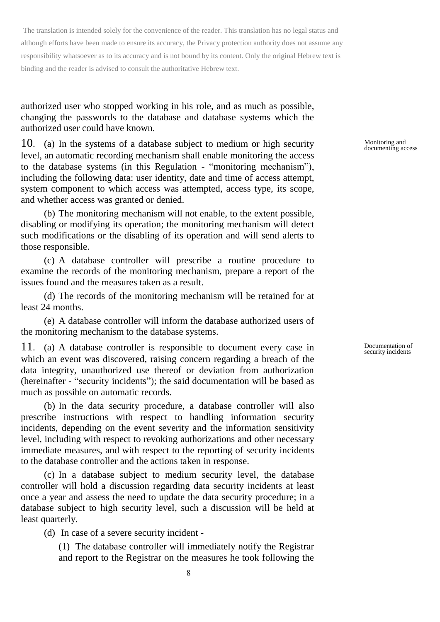authorized user who stopped working in his role, and as much as possible, changing the passwords to the database and database systems which the authorized user could have known.

10. (a) In the systems of a database subject to medium or high security level, an automatic recording mechanism shall enable monitoring the access to the database systems (in this Regulation - "monitoring mechanism"), including the following data: user identity, date and time of access attempt, system component to which access was attempted, access type, its scope, and whether access was granted or denied.

(b) The monitoring mechanism will not enable, to the extent possible, disabling or modifying its operation; the monitoring mechanism will detect such modifications or the disabling of its operation and will send alerts to those responsible.

(c) A database controller will prescribe a routine procedure to examine the records of the monitoring mechanism, prepare a report of the issues found and the measures taken as a result.

(d) The records of the monitoring mechanism will be retained for at least 24 months.

(e) A database controller will inform the database authorized users of the monitoring mechanism to the database systems.

11. (a) A database controller is responsible to document every case in which an event was discovered, raising concern regarding a breach of the data integrity, unauthorized use thereof or deviation from authorization (hereinafter - "security incidents"); the said documentation will be based as much as possible on automatic records.

(b) In the data security procedure, a database controller will also prescribe instructions with respect to handling information security incidents, depending on the event severity and the information sensitivity level, including with respect to revoking authorizations and other necessary immediate measures, and with respect to the reporting of security incidents to the database controller and the actions taken in response.

(c) In a database subject to medium security level, the database controller will hold a discussion regarding data security incidents at least once a year and assess the need to update the data security procedure; in a database subject to high security level, such a discussion will be held at least quarterly.

(d) In case of a severe security incident -

(1) The database controller will immediately notify the Registrar and report to the Registrar on the measures he took following the Monitoring and documenting access

Documentation of security incidents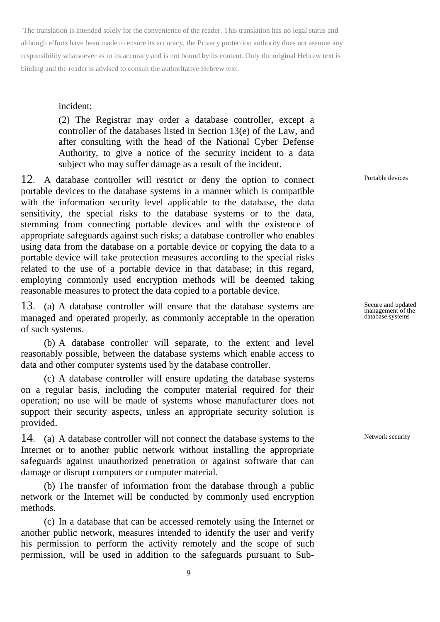#### incident;

(2) The Registrar may order a database controller, except a controller of the databases listed in Section 13(e) of the Law, and after consulting with the head of the National Cyber Defense Authority, to give a notice of the security incident to a data subject who may suffer damage as a result of the incident.

12. A database controller will restrict or deny the option to connect portable devices to the database systems in a manner which is compatible with the information security level applicable to the database, the data sensitivity, the special risks to the database systems or to the data, stemming from connecting portable devices and with the existence of appropriate safeguards against such risks; a database controller who enables using data from the database on a portable device or copying the data to a portable device will take protection measures according to the special risks related to the use of a portable device in that database; in this regard, employing commonly used encryption methods will be deemed taking reasonable measures to protect the data copied to a portable device.

13. (a) A database controller will ensure that the database systems are managed and operated properly, as commonly acceptable in the operation of such systems.

(b) A database controller will separate, to the extent and level reasonably possible, between the database systems which enable access to data and other computer systems used by the database controller.

(c) A database controller will ensure updating the database systems on a regular basis, including the computer material required for their operation; no use will be made of systems whose manufacturer does not support their security aspects, unless an appropriate security solution is provided.

14. (a) A database controller will not connect the database systems to the Internet or to another public network without installing the appropriate safeguards against unauthorized penetration or against software that can damage or disrupt computers or computer material.

(b) The transfer of information from the database through a public network or the Internet will be conducted by commonly used encryption methods.

(c) In a database that can be accessed remotely using the Internet or another public network, measures intended to identify the user and verify his permission to perform the activity remotely and the scope of such permission, will be used in addition to the safeguards pursuant to SubPortable devices

Secure and updated management of the database systems

Network security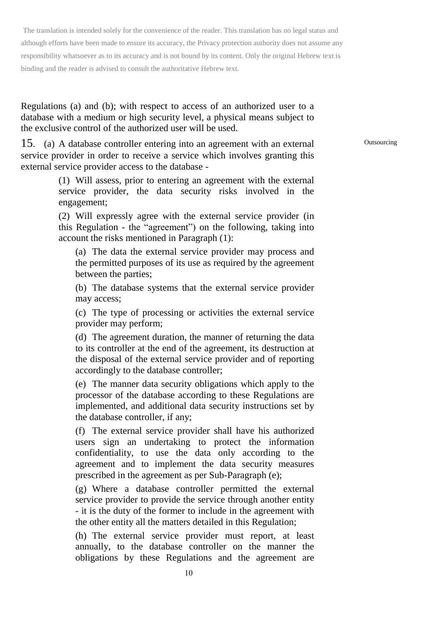Regulations (a) and (b); with respect to access of an authorized user to a database with a medium or high security level, a physical means subject to the exclusive control of the authorized user will be used.

15. (a) A database controller entering into an agreement with an external service provider in order to receive a service which involves granting this external service provider access to the database -

> (1) Will assess, prior to entering an agreement with the external service provider, the data security risks involved in the engagement;

> (2) Will expressly agree with the external service provider (in this Regulation - the "agreement") on the following, taking into account the risks mentioned in Paragraph (1):

(a) The data the external service provider may process and the permitted purposes of its use as required by the agreement between the parties;

(b) The database systems that the external service provider may access;

(c) The type of processing or activities the external service provider may perform;

(d) The agreement duration, the manner of returning the data to its controller at the end of the agreement, its destruction at the disposal of the external service provider and of reporting accordingly to the database controller;

(e) The manner data security obligations which apply to the processor of the database according to these Regulations are implemented, and additional data security instructions set by the database controller, if any;

(f) The external service provider shall have his authorized users sign an undertaking to protect the information confidentiality, to use the data only according to the agreement and to implement the data security measures prescribed in the agreement as per Sub-Paragraph (e);

(g) Where a database controller permitted the external service provider to provide the service through another entity - it is the duty of the former to include in the agreement with the other entity all the matters detailed in this Regulation;

(h) The external service provider must report, at least annually, to the database controller on the manner the obligations by these Regulations and the agreement are

**Outsourcing**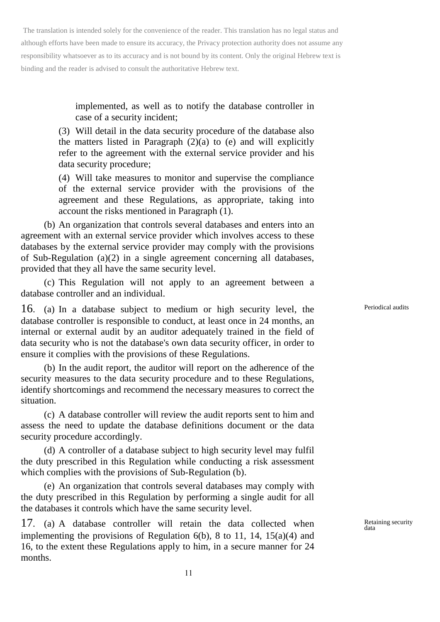> implemented, as well as to notify the database controller in case of a security incident;

(3) Will detail in the data security procedure of the database also the matters listed in Paragraph  $(2)(a)$  to (e) and will explicitly refer to the agreement with the external service provider and his data security procedure;

(4) Will take measures to monitor and supervise the compliance of the external service provider with the provisions of the agreement and these Regulations, as appropriate, taking into account the risks mentioned in Paragraph (1).

(b) An organization that controls several databases and enters into an agreement with an external service provider which involves access to these databases by the external service provider may comply with the provisions of Sub-Regulation (a)(2) in a single agreement concerning all databases, provided that they all have the same security level.

(c) This Regulation will not apply to an agreement between a database controller and an individual.

16. (a) In a database subject to medium or high security level, the database controller is responsible to conduct, at least once in 24 months, an internal or external audit by an auditor adequately trained in the field of data security who is not the database's own data security officer, in order to ensure it complies with the provisions of these Regulations.

(b) In the audit report, the auditor will report on the adherence of the security measures to the data security procedure and to these Regulations, identify shortcomings and recommend the necessary measures to correct the situation.

(c) A database controller will review the audit reports sent to him and assess the need to update the database definitions document or the data security procedure accordingly.

(d) A controller of a database subject to high security level may fulfil the duty prescribed in this Regulation while conducting a risk assessment which complies with the provisions of Sub-Regulation (b).

(e) An organization that controls several databases may comply with the duty prescribed in this Regulation by performing a single audit for all the databases it controls which have the same security level.

17. (a) A database controller will retain the data collected when implementing the provisions of Regulation  $6(b)$ , 8 to 11, 14, 15(a)(4) and 16, to the extent these Regulations apply to him, in a secure manner for 24 months.

Periodical audits

Retaining security data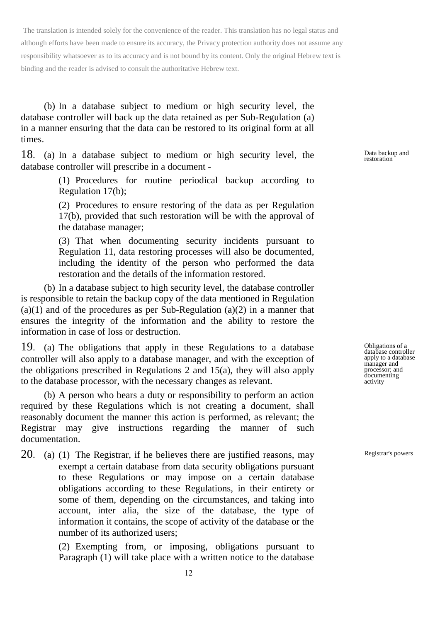(b) In a database subject to medium or high security level, the database controller will back up the data retained as per Sub-Regulation (a) in a manner ensuring that the data can be restored to its original form at all times.

18. (a) In a database subject to medium or high security level, the database controller will prescribe in a document -

> (1) Procedures for routine periodical backup according to Regulation 17(b);

> (2) Procedures to ensure restoring of the data as per Regulation 17(b), provided that such restoration will be with the approval of the database manager;

> (3) That when documenting security incidents pursuant to Regulation 11, data restoring processes will also be documented, including the identity of the person who performed the data restoration and the details of the information restored.

(b) In a database subject to high security level, the database controller is responsible to retain the backup copy of the data mentioned in Regulation  $(a)(1)$  and of the procedures as per Sub-Regulation  $(a)(2)$  in a manner that ensures the integrity of the information and the ability to restore the information in case of loss or destruction.

19. (a) The obligations that apply in these Regulations to a database controller will also apply to a database manager, and with the exception of the obligations prescribed in Regulations 2 and 15(a), they will also apply to the database processor, with the necessary changes as relevant.

(b) A person who bears a duty or responsibility to perform an action required by these Regulations which is not creating a document, shall reasonably document the manner this action is performed, as relevant; the Registrar may give instructions regarding the manner of such documentation.

20. (a) (1) The Registrar, if he believes there are justified reasons, may exempt a certain database from data security obligations pursuant to these Regulations or may impose on a certain database obligations according to these Regulations, in their entirety or some of them, depending on the circumstances, and taking into account, inter alia, the size of the database, the type of information it contains, the scope of activity of the database or the number of its authorized users;

> (2) Exempting from, or imposing, obligations pursuant to Paragraph (1) will take place with a written notice to the database

Data backup and restoration

Obligations of a database controller apply to a database manager and processor; and documenting activity

Registrar's powers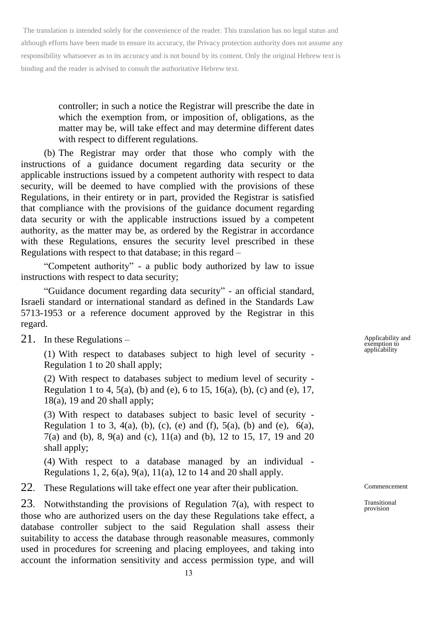> controller; in such a notice the Registrar will prescribe the date in which the exemption from, or imposition of, obligations, as the matter may be, will take effect and may determine different dates with respect to different regulations.

(b) The Registrar may order that those who comply with the instructions of a guidance document regarding data security or the applicable instructions issued by a competent authority with respect to data security, will be deemed to have complied with the provisions of these Regulations, in their entirety or in part, provided the Registrar is satisfied that compliance with the provisions of the guidance document regarding data security or with the applicable instructions issued by a competent authority, as the matter may be, as ordered by the Registrar in accordance with these Regulations, ensures the security level prescribed in these Regulations with respect to that database; in this regard –

"Competent authority" - a public body authorized by law to issue instructions with respect to data security;

"Guidance document regarding data security" - an official standard, Israeli standard or international standard as defined in the Standards Law 5713-1953 or a reference document approved by the Registrar in this regard.

21. In these Regulations –

(1) With respect to databases subject to high level of security - Regulation 1 to 20 shall apply;

(2) With respect to databases subject to medium level of security - Regulation 1 to 4, 5(a), (b) and (e), 6 to 15, 16(a), (b), (c) and (e), 17,  $18(a)$ , 19 and 20 shall apply;

(3) With respect to databases subject to basic level of security - Regulation 1 to 3, 4(a), (b), (c), (e) and (f), 5(a), (b) and (e),  $6(a)$ , 7(a) and (b), 8, 9(a) and (c), 11(a) and (b), 12 to 15, 17, 19 and 20 shall apply;

(4) With respect to a database managed by an individual - Regulations 1, 2, 6(a), 9(a), 11(a), 12 to 14 and 20 shall apply.

22. These Regulations will take effect one year after their publication.

23. Notwithstanding the provisions of Regulation 7(a), with respect to those who are authorized users on the day these Regulations take effect, a database controller subject to the said Regulation shall assess their suitability to access the database through reasonable measures, commonly used in procedures for screening and placing employees, and taking into account the information sensitivity and access permission type, and will

Applicability and exemption to applicability

Commencement

Transitional provision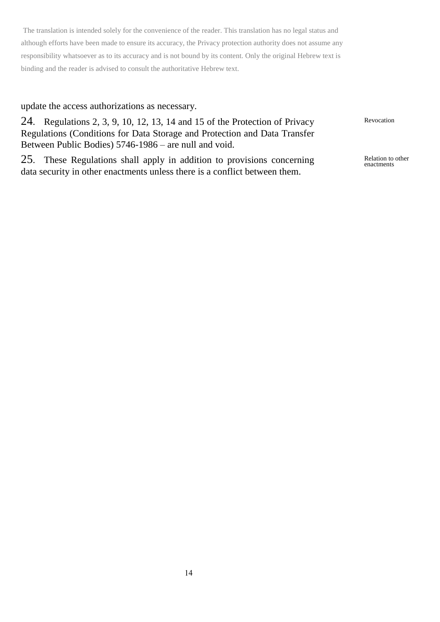## update the access authorizations as necessary.

24. Regulations 2, 3, 9, 10, 12, 13, 14 and 15 of the Protection of Privacy Regulations (Conditions for Data Storage and Protection and Data Transfer Between Public Bodies) 5746-1986 – are null and void.

25. These Regulations shall apply in addition to provisions concerning data security in other enactments unless there is a conflict between them.

Revocation

Relation to other enactments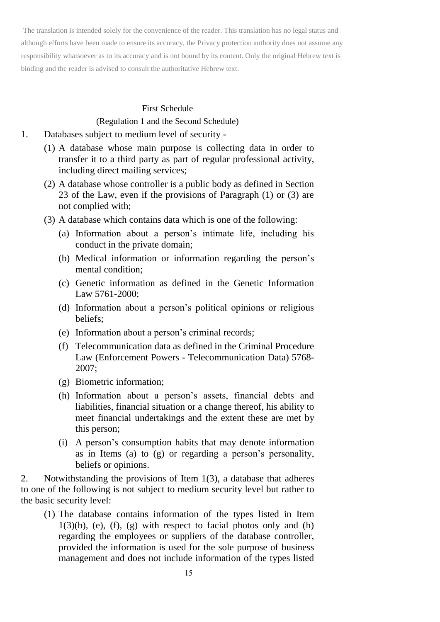#### First Schedule

## (Regulation 1 and the Second Schedule)

- 1. Databases subject to medium level of security
	- (1) A database whose main purpose is collecting data in order to transfer it to a third party as part of regular professional activity, including direct mailing services;
	- (2) A database whose controller is a public body as defined in Section 23 of the Law, even if the provisions of Paragraph (1) or (3) are not complied with;
	- (3) A database which contains data which is one of the following:
		- (a) Information about a person's intimate life, including his conduct in the private domain;
		- (b) Medical information or information regarding the person's mental condition;
		- (c) Genetic information as defined in the Genetic Information Law 5761-2000;
		- (d) Information about a person's political opinions or religious beliefs;
		- (e) Information about a person's criminal records;
		- (f) Telecommunication data as defined in the Criminal Procedure Law (Enforcement Powers - Telecommunication Data) 5768- 2007;
		- (g) Biometric information;
		- (h) Information about a person's assets, financial debts and liabilities, financial situation or a change thereof, his ability to meet financial undertakings and the extent these are met by this person;
		- (i) A person's consumption habits that may denote information as in Items (a) to (g) or regarding a person's personality, beliefs or opinions.

2. Notwithstanding the provisions of Item 1(3), a database that adheres to one of the following is not subject to medium security level but rather to the basic security level:

(1) The database contains information of the types listed in Item  $1(3)(b)$ , (e), (f), (g) with respect to facial photos only and (h) regarding the employees or suppliers of the database controller, provided the information is used for the sole purpose of business management and does not include information of the types listed